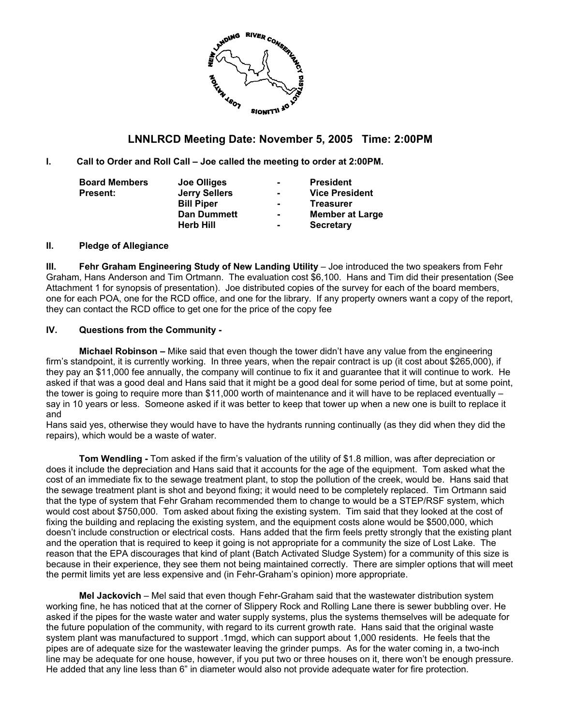

# **LNNLRCD Meeting Date: November 5, 2005 Time: 2:00PM**

**I. Call to Order and Roll Call – Joe called the meeting to order at 2:00PM.** 

| <b>Board Members</b> | Joe Olliges          | $\blacksquare$ | <b>President</b>       |
|----------------------|----------------------|----------------|------------------------|
| <b>Present:</b>      | <b>Jerry Sellers</b> | ۰.             | <b>Vice President</b>  |
|                      | <b>Bill Piper</b>    | $\blacksquare$ | <b>Treasurer</b>       |
|                      | <b>Dan Dummett</b>   | $\blacksquare$ | <b>Member at Large</b> |
|                      | <b>Herb Hill</b>     | $\blacksquare$ | <b>Secretary</b>       |

#### **II. Pledge of Allegiance**

**III. Fehr Graham Engineering Study of New Landing Utility** – Joe introduced the two speakers from Fehr Graham, Hans Anderson and Tim Ortmann. The evaluation cost \$6,100. Hans and Tim did their presentation (See Attachment 1 for synopsis of presentation). Joe distributed copies of the survey for each of the board members, one for each POA, one for the RCD office, and one for the library. If any property owners want a copy of the report, they can contact the RCD office to get one for the price of the copy fee

### **IV. Questions from the Community -**

**Michael Robinson –** Mike said that even though the tower didn't have any value from the engineering firm's standpoint, it is currently working. In three years, when the repair contract is up (it cost about \$265,000), if they pay an \$11,000 fee annually, the company will continue to fix it and guarantee that it will continue to work. He asked if that was a good deal and Hans said that it might be a good deal for some period of time, but at some point, the tower is going to require more than \$11,000 worth of maintenance and it will have to be replaced eventually – say in 10 years or less. Someone asked if it was better to keep that tower up when a new one is built to replace it and

Hans said yes, otherwise they would have to have the hydrants running continually (as they did when they did the repairs), which would be a waste of water.

**Tom Wendling -** Tom asked if the firm's valuation of the utility of \$1.8 million, was after depreciation or does it include the depreciation and Hans said that it accounts for the age of the equipment. Tom asked what the cost of an immediate fix to the sewage treatment plant, to stop the pollution of the creek, would be. Hans said that the sewage treatment plant is shot and beyond fixing; it would need to be completely replaced. Tim Ortmann said that the type of system that Fehr Graham recommended them to change to would be a STEP/RSF system, which would cost about \$750,000. Tom asked about fixing the existing system. Tim said that they looked at the cost of fixing the building and replacing the existing system, and the equipment costs alone would be \$500,000, which doesn't include construction or electrical costs. Hans added that the firm feels pretty strongly that the existing plant and the operation that is required to keep it going is not appropriate for a community the size of Lost Lake. The reason that the EPA discourages that kind of plant (Batch Activated Sludge System) for a community of this size is because in their experience, they see them not being maintained correctly. There are simpler options that will meet the permit limits yet are less expensive and (in Fehr-Graham's opinion) more appropriate.

**Mel Jackovich** – Mel said that even though Fehr-Graham said that the wastewater distribution system working fine, he has noticed that at the corner of Slippery Rock and Rolling Lane there is sewer bubbling over. He asked if the pipes for the waste water and water supply systems, plus the systems themselves will be adequate for the future population of the community, with regard to its current growth rate. Hans said that the original waste system plant was manufactured to support .1mgd, which can support about 1,000 residents. He feels that the pipes are of adequate size for the wastewater leaving the grinder pumps. As for the water coming in, a two-inch line may be adequate for one house, however, if you put two or three houses on it, there won't be enough pressure. He added that any line less than 6" in diameter would also not provide adequate water for fire protection.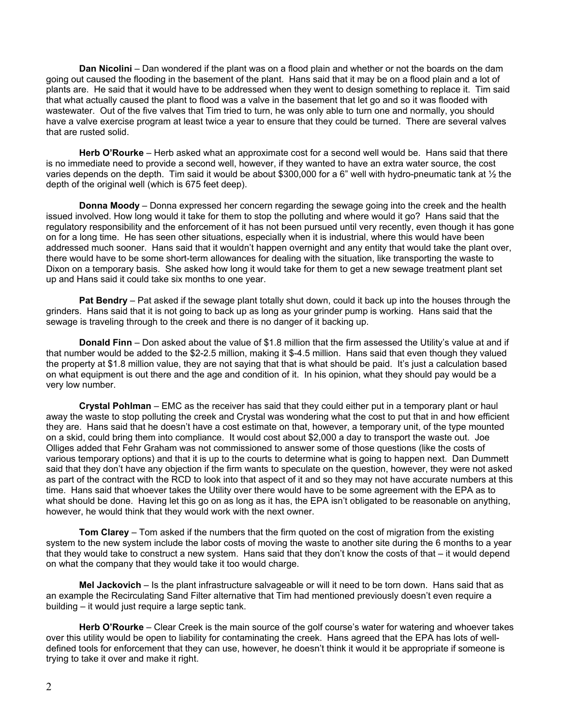**Dan Nicolini** – Dan wondered if the plant was on a flood plain and whether or not the boards on the dam going out caused the flooding in the basement of the plant. Hans said that it may be on a flood plain and a lot of plants are. He said that it would have to be addressed when they went to design something to replace it. Tim said that what actually caused the plant to flood was a valve in the basement that let go and so it was flooded with wastewater. Out of the five valves that Tim tried to turn, he was only able to turn one and normally, you should have a valve exercise program at least twice a year to ensure that they could be turned. There are several valves that are rusted solid.

**Herb O'Rourke** – Herb asked what an approximate cost for a second well would be. Hans said that there is no immediate need to provide a second well, however, if they wanted to have an extra water source, the cost varies depends on the depth. Tim said it would be about \$300,000 for a 6" well with hydro-pneumatic tank at 1/2 the depth of the original well (which is 675 feet deep).

**Donna Moody** – Donna expressed her concern regarding the sewage going into the creek and the health issued involved. How long would it take for them to stop the polluting and where would it go? Hans said that the regulatory responsibility and the enforcement of it has not been pursued until very recently, even though it has gone on for a long time. He has seen other situations, especially when it is industrial, where this would have been addressed much sooner. Hans said that it wouldn't happen overnight and any entity that would take the plant over, there would have to be some short-term allowances for dealing with the situation, like transporting the waste to Dixon on a temporary basis. She asked how long it would take for them to get a new sewage treatment plant set up and Hans said it could take six months to one year.

**Pat Bendry** – Pat asked if the sewage plant totally shut down, could it back up into the houses through the grinders. Hans said that it is not going to back up as long as your grinder pump is working. Hans said that the sewage is traveling through to the creek and there is no danger of it backing up.

**Donald Finn** – Don asked about the value of \$1.8 million that the firm assessed the Utility's value at and if that number would be added to the \$2-2.5 million, making it \$-4.5 million. Hans said that even though they valued the property at \$1.8 million value, they are not saying that that is what should be paid. It's just a calculation based on what equipment is out there and the age and condition of it. In his opinion, what they should pay would be a very low number.

**Crystal Pohlman** – EMC as the receiver has said that they could either put in a temporary plant or haul away the waste to stop polluting the creek and Crystal was wondering what the cost to put that in and how efficient they are. Hans said that he doesn't have a cost estimate on that, however, a temporary unit, of the type mounted on a skid, could bring them into compliance. It would cost about \$2,000 a day to transport the waste out. Joe Olliges added that Fehr Graham was not commissioned to answer some of those questions (like the costs of various temporary options) and that it is up to the courts to determine what is going to happen next. Dan Dummett said that they don't have any objection if the firm wants to speculate on the question, however, they were not asked as part of the contract with the RCD to look into that aspect of it and so they may not have accurate numbers at this time. Hans said that whoever takes the Utility over there would have to be some agreement with the EPA as to what should be done. Having let this go on as long as it has, the EPA isn't obligated to be reasonable on anything, however, he would think that they would work with the next owner.

**Tom Clarey** – Tom asked if the numbers that the firm quoted on the cost of migration from the existing system to the new system include the labor costs of moving the waste to another site during the 6 months to a year that they would take to construct a new system. Hans said that they don't know the costs of that – it would depend on what the company that they would take it too would charge.

**Mel Jackovich** – Is the plant infrastructure salvageable or will it need to be torn down. Hans said that as an example the Recirculating Sand Filter alternative that Tim had mentioned previously doesn't even require a building – it would just require a large septic tank.

**Herb O'Rourke** – Clear Creek is the main source of the golf course's water for watering and whoever takes over this utility would be open to liability for contaminating the creek. Hans agreed that the EPA has lots of welldefined tools for enforcement that they can use, however, he doesn't think it would it be appropriate if someone is trying to take it over and make it right.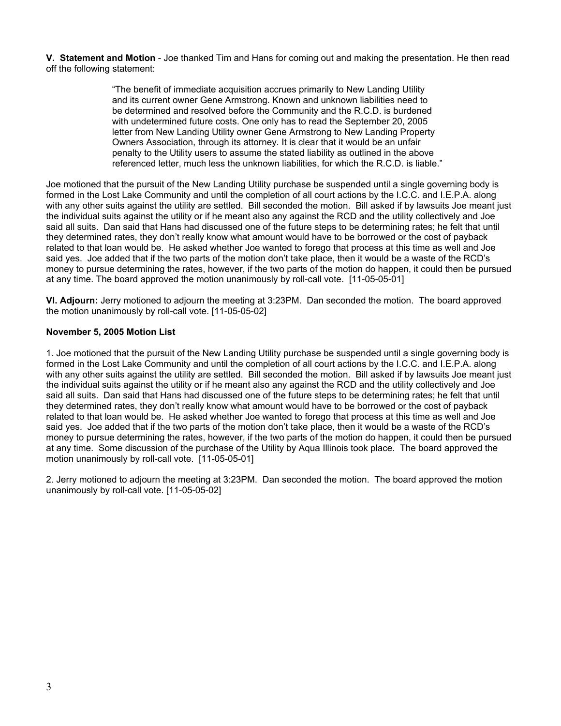**V. Statement and Motion** - Joe thanked Tim and Hans for coming out and making the presentation. He then read off the following statement:

> "The benefit of immediate acquisition accrues primarily to New Landing Utility and its current owner Gene Armstrong. Known and unknown liabilities need to be determined and resolved before the Community and the R.C.D. is burdened with undetermined future costs. One only has to read the September 20, 2005 letter from New Landing Utility owner Gene Armstrong to New Landing Property Owners Association, through its attorney. It is clear that it would be an unfair penalty to the Utility users to assume the stated liability as outlined in the above referenced letter, much less the unknown liabilities, for which the R.C.D. is liable."

Joe motioned that the pursuit of the New Landing Utility purchase be suspended until a single governing body is formed in the Lost Lake Community and until the completion of all court actions by the I.C.C. and I.E.P.A. along with any other suits against the utility are settled. Bill seconded the motion. Bill asked if by lawsuits Joe meant just the individual suits against the utility or if he meant also any against the RCD and the utility collectively and Joe said all suits. Dan said that Hans had discussed one of the future steps to be determining rates; he felt that until they determined rates, they don't really know what amount would have to be borrowed or the cost of payback related to that loan would be. He asked whether Joe wanted to forego that process at this time as well and Joe said yes. Joe added that if the two parts of the motion don't take place, then it would be a waste of the RCD's money to pursue determining the rates, however, if the two parts of the motion do happen, it could then be pursued at any time. The board approved the motion unanimously by roll-call vote. [11-05-05-01]

**VI. Adjourn:** Jerry motioned to adjourn the meeting at 3:23PM. Dan seconded the motion. The board approved the motion unanimously by roll-call vote. [11-05-05-02]

## **November 5, 2005 Motion List**

1. Joe motioned that the pursuit of the New Landing Utility purchase be suspended until a single governing body is formed in the Lost Lake Community and until the completion of all court actions by the I.C.C. and I.E.P.A. along with any other suits against the utility are settled. Bill seconded the motion. Bill asked if by lawsuits Joe meant just the individual suits against the utility or if he meant also any against the RCD and the utility collectively and Joe said all suits. Dan said that Hans had discussed one of the future steps to be determining rates; he felt that until they determined rates, they don't really know what amount would have to be borrowed or the cost of payback related to that loan would be. He asked whether Joe wanted to forego that process at this time as well and Joe said yes. Joe added that if the two parts of the motion don't take place, then it would be a waste of the RCD's money to pursue determining the rates, however, if the two parts of the motion do happen, it could then be pursued at any time. Some discussion of the purchase of the Utility by Aqua Illinois took place. The board approved the motion unanimously by roll-call vote. [11-05-05-01]

2. Jerry motioned to adjourn the meeting at 3:23PM. Dan seconded the motion. The board approved the motion unanimously by roll-call vote. [11-05-05-02]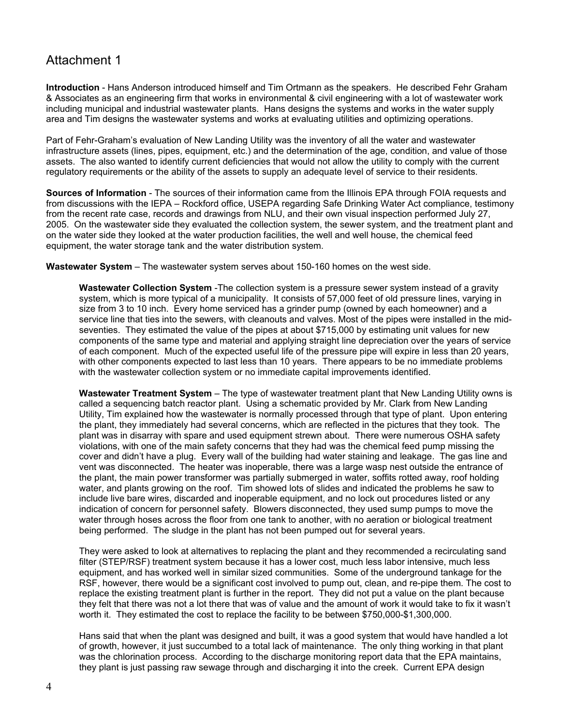# Attachment 1

**Introduction** - Hans Anderson introduced himself and Tim Ortmann as the speakers. He described Fehr Graham & Associates as an engineering firm that works in environmental & civil engineering with a lot of wastewater work including municipal and industrial wastewater plants. Hans designs the systems and works in the water supply area and Tim designs the wastewater systems and works at evaluating utilities and optimizing operations.

Part of Fehr-Graham's evaluation of New Landing Utility was the inventory of all the water and wastewater infrastructure assets (lines, pipes, equipment, etc.) and the determination of the age, condition, and value of those assets. The also wanted to identify current deficiencies that would not allow the utility to comply with the current regulatory requirements or the ability of the assets to supply an adequate level of service to their residents.

**Sources of Information** - The sources of their information came from the Illinois EPA through FOIA requests and from discussions with the IEPA – Rockford office, USEPA regarding Safe Drinking Water Act compliance, testimony from the recent rate case, records and drawings from NLU, and their own visual inspection performed July 27, 2005. On the wastewater side they evaluated the collection system, the sewer system, and the treatment plant and on the water side they looked at the water production facilities, the well and well house, the chemical feed equipment, the water storage tank and the water distribution system.

**Wastewater System** – The wastewater system serves about 150-160 homes on the west side.

**Wastewater Collection System** -The collection system is a pressure sewer system instead of a gravity system, which is more typical of a municipality. It consists of 57,000 feet of old pressure lines, varying in size from 3 to 10 inch. Every home serviced has a grinder pump (owned by each homeowner) and a service line that ties into the sewers, with cleanouts and valves. Most of the pipes were installed in the midseventies. They estimated the value of the pipes at about \$715,000 by estimating unit values for new components of the same type and material and applying straight line depreciation over the years of service of each component. Much of the expected useful life of the pressure pipe will expire in less than 20 years, with other components expected to last less than 10 years. There appears to be no immediate problems with the wastewater collection system or no immediate capital improvements identified.

**Wastewater Treatment System** – The type of wastewater treatment plant that New Landing Utility owns is called a sequencing batch reactor plant. Using a schematic provided by Mr. Clark from New Landing Utility, Tim explained how the wastewater is normally processed through that type of plant. Upon entering the plant, they immediately had several concerns, which are reflected in the pictures that they took. The plant was in disarray with spare and used equipment strewn about. There were numerous OSHA safety violations, with one of the main safety concerns that they had was the chemical feed pump missing the cover and didn't have a plug. Every wall of the building had water staining and leakage. The gas line and vent was disconnected. The heater was inoperable, there was a large wasp nest outside the entrance of the plant, the main power transformer was partially submerged in water, soffits rotted away, roof holding water, and plants growing on the roof. Tim showed lots of slides and indicated the problems he saw to include live bare wires, discarded and inoperable equipment, and no lock out procedures listed or any indication of concern for personnel safety. Blowers disconnected, they used sump pumps to move the water through hoses across the floor from one tank to another, with no aeration or biological treatment being performed. The sludge in the plant has not been pumped out for several years.

They were asked to look at alternatives to replacing the plant and they recommended a recirculating sand filter (STEP/RSF) treatment system because it has a lower cost, much less labor intensive, much less equipment, and has worked well in similar sized communities. Some of the underground tankage for the RSF, however, there would be a significant cost involved to pump out, clean, and re-pipe them. The cost to replace the existing treatment plant is further in the report. They did not put a value on the plant because they felt that there was not a lot there that was of value and the amount of work it would take to fix it wasn't worth it. They estimated the cost to replace the facility to be between \$750,000-\$1,300,000.

Hans said that when the plant was designed and built, it was a good system that would have handled a lot of growth, however, it just succumbed to a total lack of maintenance. The only thing working in that plant was the chlorination process. According to the discharge monitoring report data that the EPA maintains, they plant is just passing raw sewage through and discharging it into the creek. Current EPA design